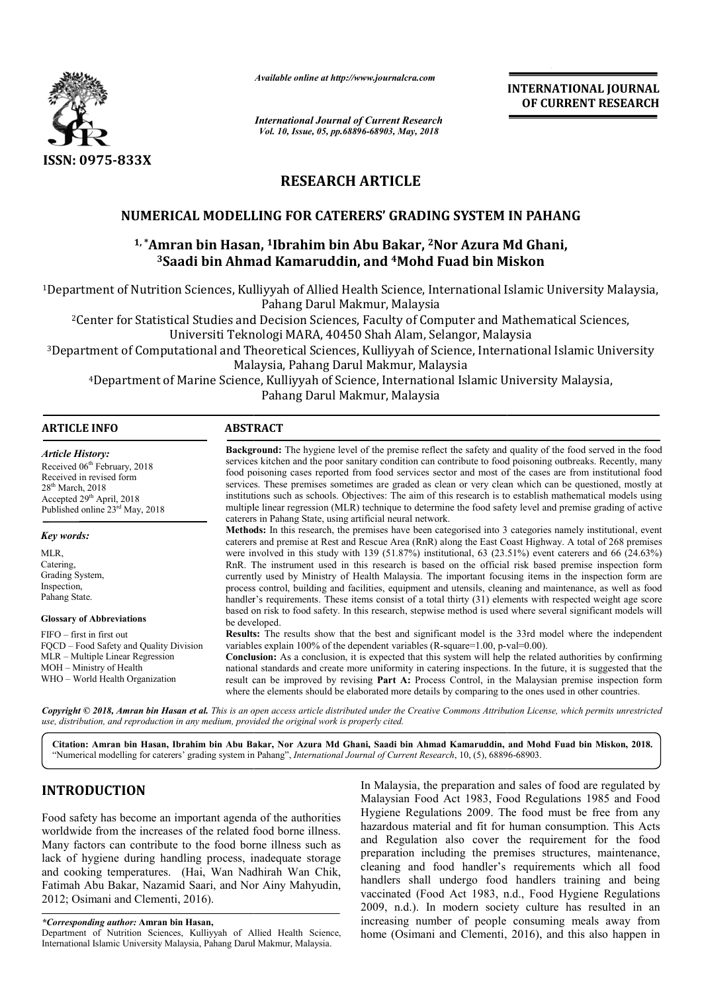

*Available online at http://www.journalcra.com*

*International Journal of Current Research Vol. 10, Issue, 05, pp.68896-68903, May, 2018*

**INTERNATIONAL JOURNAL OF CURRENT RESEARCH**

# **RESEARCH ARTICLE**

# **NUMERICAL MODELLING FOR CATERERS' GRADING SYSTEM IN PAHANG**

# <sup>1,</sup>\*Amran bin Hasan, <sup>1</sup>Ibrahim bin Abu Bakar, <sup>2</sup>Nor Azura Md Ghani, **3Saadi bin Ahmad Kamaruddin, and Saadi 4Mohd Fuad bin Miskon GRADING SYSTEM IN PAHANG<br>Bakar, <sup>2</sup>Nor Azura Md Ghani,<br><sup>4</sup>Mohd Fuad bin Miskon**

<sup>1</sup>Department of Nutrition Sciences, Kulliyyah of Allied Health Science, International Islamic University Malaysia,<br>Pahang Darul Makmur, Malaysia of Nutrition Sciences, Kulliyyah of Allied Health Science, International Islamic University Malaysia<br>Pahang Darul Makmur, Malaysia<br>for Statistical Studies and Decision Sciences, Faculty of Computer and Mathematical Science

2Center for Statistical Studies and Decision Sciences, Faculty of Computer and Mathematical Sciences,

Universiti Teknologi MARA, 40450 Shah Alam, Selangor, Malaysia

3Department of Computational and Theoretical Sciences, Kulliyyah of Science, International Islamic University Malaysia, Pahang Darul Makmur, Malaysia <sup>2</sup>Center for Statistical Studies and Decision Sciences, Faculty of Computer and Mathematical Science<br>Universiti Teknologi MARA, 40450 Shah Alam, Selangor, Malaysia<br>Department of Computational and Theoretical Sciences, Kul

Pahang Darul Makmur, Malaysia

| <b>ARTICLE INFO</b>                                                                                                                                                                                   | <b>ABSTRACT</b>                                                                                                                                                                                                                                                                                                                                                                                                                                                                                                                                                                                                                                                                                                                                       |
|-------------------------------------------------------------------------------------------------------------------------------------------------------------------------------------------------------|-------------------------------------------------------------------------------------------------------------------------------------------------------------------------------------------------------------------------------------------------------------------------------------------------------------------------------------------------------------------------------------------------------------------------------------------------------------------------------------------------------------------------------------------------------------------------------------------------------------------------------------------------------------------------------------------------------------------------------------------------------|
| <b>Article History:</b><br>Received 06 <sup>th</sup> February, 2018<br>Received in revised form<br>$28th$ March, $2018$<br>Accepted $29th$ April, 2018<br>Published online 23 <sup>rd</sup> May, 2018 | <b>Background:</b> The hygiene level of the premise reflect the safety and quality of the food served in the food<br>services kitchen and the poor sanitary condition can contribute to food poisoning outbreaks. Recently, many<br>food poisoning cases reported from food services sector and most of the cases are from institutional food<br>services. These premises sometimes are graded as clean or very clean which can be questioned, mostly at<br>institutions such as schools. Objectives: The aim of this research is to establish mathematical models using<br>multiple linear regression (MLR) technique to determine the food safety level and premise grading of active<br>caterers in Pahang State, using artificial neural network. |
| Key words:                                                                                                                                                                                            | <b>Methods:</b> In this research, the premises have been categorised into 3 categories namely institutional, event<br>caterers and premise at Rest and Rescue Area (RnR) along the East Coast Highway. A total of 268 premises                                                                                                                                                                                                                                                                                                                                                                                                                                                                                                                        |
| MLR,                                                                                                                                                                                                  | were involved in this study with 139 (51.87%) institutional, 63 (23.51%) event caterers and 66 (24.63%)                                                                                                                                                                                                                                                                                                                                                                                                                                                                                                                                                                                                                                               |
| Catering.                                                                                                                                                                                             | RnR. The instrument used in this research is based on the official risk based premise inspection form                                                                                                                                                                                                                                                                                                                                                                                                                                                                                                                                                                                                                                                 |
| Grading System,                                                                                                                                                                                       | currently used by Ministry of Health Malaysia. The important focusing items in the inspection form are                                                                                                                                                                                                                                                                                                                                                                                                                                                                                                                                                                                                                                                |
| Inspection,                                                                                                                                                                                           | process control, building and facilities, equipment and utensils, cleaning and maintenance, as well as food                                                                                                                                                                                                                                                                                                                                                                                                                                                                                                                                                                                                                                           |
| Pahang State.                                                                                                                                                                                         | handler's requirements. These items consist of a total thirty (31) elements with respected weight age score                                                                                                                                                                                                                                                                                                                                                                                                                                                                                                                                                                                                                                           |
| <b>Glossary of Abbreviations</b>                                                                                                                                                                      | based on risk to food safety. In this research, stepwise method is used where several significant models will<br>be developed.                                                                                                                                                                                                                                                                                                                                                                                                                                                                                                                                                                                                                        |
| $FIFO - first in first out$                                                                                                                                                                           | <b>Results:</b> The results show that the best and significant model is the 33rd model where the independent                                                                                                                                                                                                                                                                                                                                                                                                                                                                                                                                                                                                                                          |
| FQCD – Food Safety and Quality Division                                                                                                                                                               | variables explain $100\%$ of the dependent variables (R-square= $1.00$ , p-val= $0.00$ ).                                                                                                                                                                                                                                                                                                                                                                                                                                                                                                                                                                                                                                                             |
| MLR – Multiple Linear Regression                                                                                                                                                                      | <b>Conclusion:</b> As a conclusion, it is expected that this system will help the related authorities by confirming                                                                                                                                                                                                                                                                                                                                                                                                                                                                                                                                                                                                                                   |
| MOH – Ministry of Health                                                                                                                                                                              | national standards and create more uniformity in catering inspections. In the future, it is suggested that the                                                                                                                                                                                                                                                                                                                                                                                                                                                                                                                                                                                                                                        |
| WHO - World Health Organization                                                                                                                                                                       | result can be improved by revising <b>Part A:</b> Process Control, in the Malaysian premise inspection form                                                                                                                                                                                                                                                                                                                                                                                                                                                                                                                                                                                                                                           |
|                                                                                                                                                                                                       | where the elements should be elaborated more details by comparing to the ones used in other countries.                                                                                                                                                                                                                                                                                                                                                                                                                                                                                                                                                                                                                                                |

Copyright © 2018, Amran bin Hasan et al. This is an open access article distributed under the Creative Commons Attribution License, which permits unrestrictea *use, distribution, and reproduction in any medium, provided the original work is properly cited.*

Citation: Amran bin Hasan, Ibrahim bin Abu Bakar, Nor Azura Md Ghani, Saadi bin Ahmad Kamaruddin, and Mohd Fuad bin Miskon, 2018. "Numerical modelling for caterers' grading system in Pahang", *International Journal of Current Research*, 10, (5), 68896-68903.

# **INTRODUCTION**

Food safety has become an important agenda of the authorities worldwide from the increases of the related food borne illness. Many factors can contribute to the food borne illness such as lack of hygiene during handling process, inadequate storage and cooking temperatures. (Hai, Wan Nadhirah Wan Chik, Fatimah Abu Bakar, Nazamid Saari, and Nor Ainy Mahyudin, 2012; Osimani and Clementi, 2016).

Department of Nutrition Sciences, Kulliyyah of Allied Health Science, International Islamic University Malaysia, Pahang Darul Makmur, Malaysia Malaysia.

In Malaysia, the preparation and sales of food are regulated by Malaysian Food Act 1983, Food Regulations 1985 and Food In Malaysia, the preparation and sales of food are regulated by Malaysian Food Act 1983, Food Regulations 1985 and Food Hygiene Regulations 2009. The food must be free from any hazardous material and fit for human consumption. This Acts and Regulation also cover the requirement for the food preparation including the premises structures, maintenance, cleaning and food handler's requirements which all food handlers shall undergo food handlers training and being vaccinated (Food Act 1983, n.d., Food Hygiene Regulations 2009, n.d.). In modern society culture has resulted in increasing number of people consuming meals away from increasing number of people consuming meals away from home (Osimani and Clementi, 2016), and this also happen in azardous material and fit for human consumption. This Acts<br>nd Regulation also cover the requirement for the food<br>reparation including the premises structures, maintenance,<br>leaning and food handler's requirements which all

*<sup>\*</sup>Corresponding author:* **Amran bin Hasan,**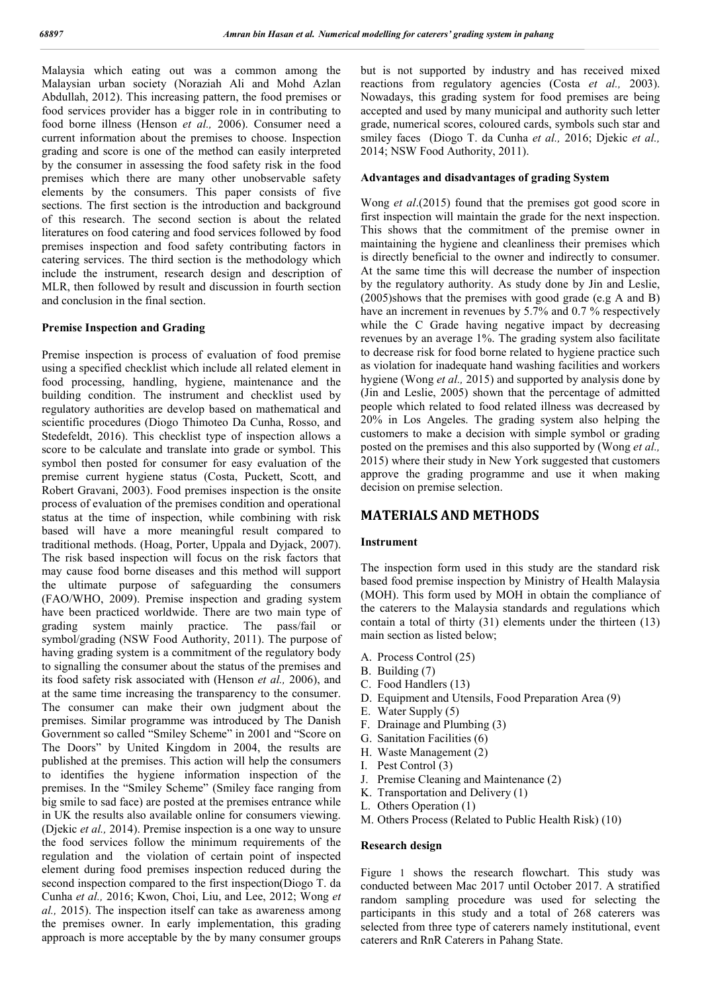Malaysia which eating out was a common among the Malaysian urban society (Noraziah Ali and Mohd Azlan Abdullah, 2012). This increasing pattern, the food premises or food services provider has a bigger role in in contributing to food borne illness (Henson *et al.,* 2006). Consumer need a current information about the premises to choose. Inspection grading and score is one of the method can easily interpreted by the consumer in assessing the food safety risk in the food premises which there are many other unobservable safety elements by the consumers. This paper consists of five sections. The first section is the introduction and background of this research. The second section is about the related literatures on food catering and food services followed by food premises inspection and food safety contributing factors in catering services. The third section is the methodology which include the instrument, research design and description of MLR, then followed by result and discussion in fourth section and conclusion in the final section.

#### **Premise Inspection and Grading**

Premise inspection is process of evaluation of food premise using a specified checklist which include all related element in food processing, handling, hygiene, maintenance and the building condition. The instrument and checklist used by regulatory authorities are develop based on mathematical and scientific procedures (Diogo Thimoteo Da Cunha, Rosso, and Stedefeldt, 2016). This checklist type of inspection allows a score to be calculate and translate into grade or symbol. This symbol then posted for consumer for easy evaluation of the premise current hygiene status (Costa, Puckett, Scott, and Robert Gravani, 2003). Food premises inspection is the onsite process of evaluation of the premises condition and operational status at the time of inspection, while combining with risk based will have a more meaningful result compared to traditional methods. (Hoag, Porter, Uppala and Dyjack, 2007). The risk based inspection will focus on the risk factors that may cause food borne diseases and this method will support the ultimate purpose of safeguarding the consumers (FAO/WHO, 2009). Premise inspection and grading system have been practiced worldwide. There are two main type of grading system mainly practice. The pass/fail or symbol/grading (NSW Food Authority, 2011). The purpose of having grading system is a commitment of the regulatory body to signalling the consumer about the status of the premises and its food safety risk associated with (Henson *et al.,* 2006), and at the same time increasing the transparency to the consumer. The consumer can make their own judgment about the premises. Similar programme was introduced by The Danish Government so called "Smiley Scheme" in 2001 and "Score on The Doors" by United Kingdom in 2004, the results are published at the premises. This action will help the consumers to identifies the hygiene information inspection of the premises. In the "Smiley Scheme" (Smiley face ranging from big smile to sad face) are posted at the premises entrance while in UK the results also available online for consumers viewing. (Djekic *et al.,* 2014). Premise inspection is a one way to unsure the food services follow the minimum requirements of the regulation and the violation of certain point of inspected element during food premises inspection reduced during the second inspection compared to the first inspection(Diogo T. da Cunha *et al.,* 2016; Kwon, Choi, Liu, and Lee, 2012; Wong *et al.,* 2015). The inspection itself can take as awareness among the premises owner. In early implementation, this grading approach is more acceptable by the by many consumer groups

but is not supported by industry and has received mixed reactions from regulatory agencies (Costa *et al.,* 2003). Nowadays, this grading system for food premises are being accepted and used by many municipal and authority such letter grade, numerical scores, coloured cards, symbols such star and smiley faces (Diogo T. da Cunha *et al.,* 2016; Djekic *et al.,*  2014; NSW Food Authority, 2011).

#### **Advantages and disadvantages of grading System**

Wong *et al*.(2015) found that the premises got good score in first inspection will maintain the grade for the next inspection. This shows that the commitment of the premise owner in maintaining the hygiene and cleanliness their premises which is directly beneficial to the owner and indirectly to consumer. At the same time this will decrease the number of inspection by the regulatory authority. As study done by Jin and Leslie, (2005)shows that the premises with good grade (e.g A and B) have an increment in revenues by 5.7% and 0.7% respectively while the C Grade having negative impact by decreasing revenues by an average 1%. The grading system also facilitate to decrease risk for food borne related to hygiene practice such as violation for inadequate hand washing facilities and workers hygiene (Wong *et al.,* 2015) and supported by analysis done by (Jin and Leslie, 2005) shown that the percentage of admitted people which related to food related illness was decreased by 20% in Los Angeles. The grading system also helping the customers to make a decision with simple symbol or grading posted on the premises and this also supported by (Wong *et al.,*  2015) where their study in New York suggested that customers approve the grading programme and use it when making decision on premise selection.

## **MATERIALS AND METHODS**

#### **Instrument**

The inspection form used in this study are the standard risk based food premise inspection by Ministry of Health Malaysia (MOH). This form used by MOH in obtain the compliance of the caterers to the Malaysia standards and regulations which contain a total of thirty (31) elements under the thirteen (13) main section as listed below;

- A. Process Control (25)
- B. Building (7)
- C. Food Handlers (13)
- D. Equipment and Utensils, Food Preparation Area (9)
- E. Water Supply (5)
- F. Drainage and Plumbing (3)
- G. Sanitation Facilities (6)
- H. Waste Management (2)
- I. Pest Control (3)
- J. Premise Cleaning and Maintenance (2)
- K. Transportation and Delivery (1)
- L. Others Operation (1)
- M. Others Process (Related to Public Health Risk) (10)

#### **Research design**

Figure 1 shows the research flowchart. This study was conducted between Mac 2017 until October 2017. A stratified random sampling procedure was used for selecting the participants in this study and a total of 268 caterers was selected from three type of caterers namely institutional, event caterers and RnR Caterers in Pahang State.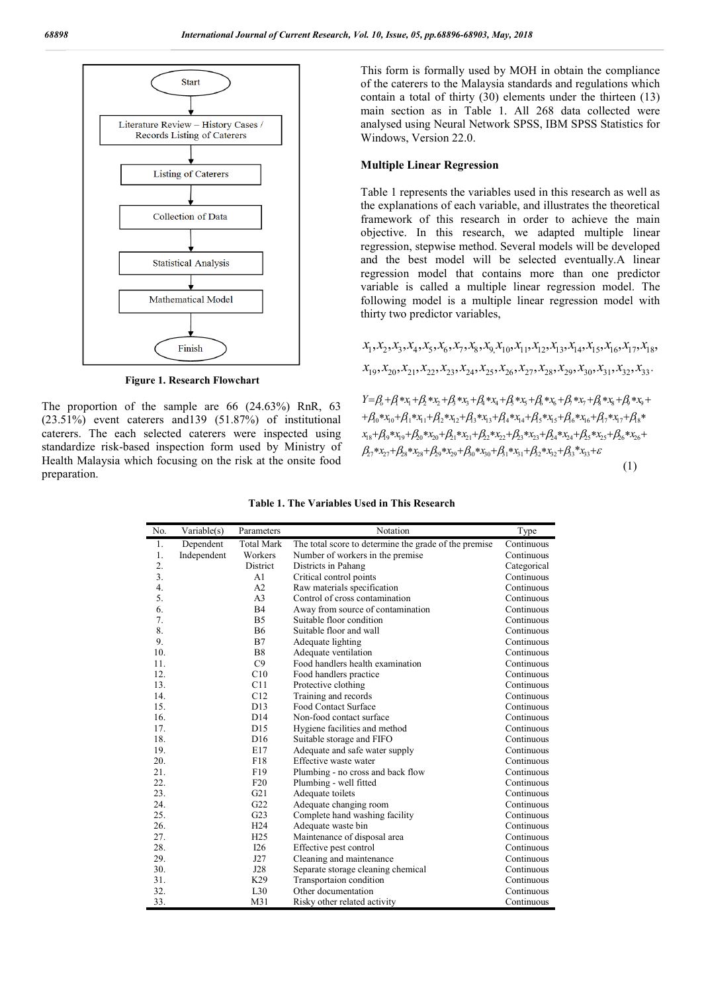

**Figure 1. Research Flowchart**

The proportion of the sample are 66 (24.63%) RnR, 63 (23.51%) event caterers and139 (51.87%) of institutional caterers. The each selected caterers were inspected using standardize risk-based inspection form used by Ministry of Health Malaysia which focusing on the risk at the onsite food preparation.

This form is formally used by MOH in obtain the compliance of the caterers to the Malaysia standards and regulations which contain a total of thirty (30) elements under the thirteen (13) main section as in Table 1. All 268 data collected were analysed using Neural Network SPSS, IBM SPSS Statistics for Windows, Version 22.0.

#### **Multiple Linear Regression**

Table 1 represents the variables used in this research as well as the explanations of each variable, and illustrates the theoretical framework of this research in order to achieve the main objective. In this research, we adapted multiple linear regression, stepwise method. Several models will be developed and the best model will be selected eventually.A linear regression model that contains more than one predictor variable is called a multiple linear regression model. The following model is a multiple linear regression model with thirty two predictor variables,

 $x_1, x_2, x_3, x_4, x_5, x_6, x_7, x_8, x_9, x_{10}, x_{11}, x_{12}, x_{13}, x_{14}, x_{15}, x_{16}, x_{17}, x_{18},$  $x_{19}, x_{20}, x_{21}, x_{22}, x_{23}, x_{24}, x_{25}, x_{26}, x_{27}, x_{28}, x_{29}, x_{30}, x_{31}, x_{32}, x_{33}.$  $\beta_{27}$ \* $x_{27} + \beta_{28}$ \* $x_{28} + \beta_{29}$ \* $x_{29} + \beta_{30}$ \* $x_{30} + \beta_{31}$ \* $x_{31} + \beta_{32}$ \* $x_{32} + \beta_{33}$ \* $x_{33} + \varepsilon$  $x_{18}+\beta_{9} * x_{19}+\beta_{20} * x_{20}+\beta_{21} * x_{21}+\beta_{22} * x_{22}+\beta_{3} * x_{23}+\beta_{4} * x_{24}+\beta_{25} * x_{25}+\beta_{26} * x_{26}+\beta_{27} * x_{27}+\beta_{28} * x_{28}+\beta_{29} * x_{29}+\beta_{20} * x_{21}+\beta_{21} * x_{22}+\beta_{22} * x_{23}+\beta_{23} * x_{24}+\beta_{24} * x_{25}+\beta_{25} * x_{26}+\beta_{26} * x_{27}+\beta$  $+ \beta_0 * x_0 + \beta_1 * x_{11} + \beta_2 * x_{12} + \beta_3 * x_{13} + \beta_4 * x_{14} + \beta_5 * x_{15} + \beta_6 * x_{16} + \beta_7 * x_{17} + \beta_8 * x_{19} + \beta_9 * x_{10} + \beta_9 * x_{11} + \beta_9 * x_{12} + \beta_8 * x_{13} + \beta_9 * x_{14} + \beta_9 * x_{15} + \beta_0 * x_{16} + \beta_7 * x_{17} + \beta_8 * x_{18} + \beta_9 * x_{19} + \beta_9 * x_{10} + \$  $Y = \beta_0 + \beta_1 * x_1 + \beta_2 * x_2 + \beta_3 * x_3 + \beta_4 * x_4 + \beta_5 * x_5 + \beta_6 * x_6 + \beta_7 * x_7 + \beta_8 * x_8 + \beta_9 * x_9 + \beta_1 * x_0$ (1)

| Table 1. The Variables Used in This Research |  |
|----------------------------------------------|--|
|----------------------------------------------|--|

| No. | Variable(s) | Parameters        | Notation                                              | Type        |
|-----|-------------|-------------------|-------------------------------------------------------|-------------|
| 1.  | Dependent   | <b>Total Mark</b> | The total score to determine the grade of the premise | Continuous  |
| 1.  | Independent | Workers           | Number of workers in the premise                      | Continuous  |
| 2.  |             | District          | Districts in Pahang                                   | Categorical |
| 3.  |             | A <sub>1</sub>    | Critical control points                               | Continuous  |
| 4.  |             | A2                | Raw materials specification                           | Continuous  |
| 5.  |             | A <sub>3</sub>    | Control of cross contamination                        | Continuous  |
| 6.  |             | B4                | Away from source of contamination                     | Continuous  |
| 7.  |             | B <sub>5</sub>    | Suitable floor condition                              | Continuous  |
| 8.  |             | <b>B6</b>         | Suitable floor and wall                               | Continuous  |
| 9.  |             | B7                | Adequate lighting                                     | Continuous  |
| 10. |             | <b>B8</b>         | Adequate ventilation                                  | Continuous  |
| 11. |             | C9                | Food handlers health examination                      | Continuous  |
| 12. |             | C10               | Food handlers practice                                | Continuous  |
| 13. |             | C11               | Protective clothing                                   | Continuous  |
| 14. |             | C12               | Training and records                                  | Continuous  |
| 15. |             | D13               | <b>Food Contact Surface</b>                           | Continuous  |
| 16. |             | D14               | Non-food contact surface                              | Continuous  |
| 17. |             | D15               | Hygiene facilities and method                         | Continuous  |
| 18. |             | D <sub>16</sub>   | Suitable storage and FIFO                             | Continuous  |
| 19. |             | E17               | Adequate and safe water supply                        | Continuous  |
| 20. |             | F18               | Effective waste water                                 | Continuous  |
| 21. |             | F19               | Plumbing - no cross and back flow                     | Continuous  |
| 22. |             | F20               | Plumbing - well fitted                                | Continuous  |
| 23. |             | G21               | Adequate toilets                                      | Continuous  |
| 24. |             | G22               | Adequate changing room                                | Continuous  |
| 25. |             | G23               | Complete hand washing facility                        | Continuous  |
| 26. |             | H <sub>24</sub>   | Adequate waste bin                                    | Continuous  |
| 27. |             | H <sub>25</sub>   | Maintenance of disposal area                          | Continuous  |
| 28. |             | I26               | Effective pest control                                | Continuous  |
| 29. |             | J27               | Cleaning and maintenance                              | Continuous  |
| 30. |             | J28               | Separate storage cleaning chemical                    | Continuous  |
| 31. |             | K29               | Transportaion condition                               | Continuous  |
| 32. |             | L30               | Other documentation                                   | Continuous  |
| 33. |             | M31               | Risky other related activity                          | Continuous  |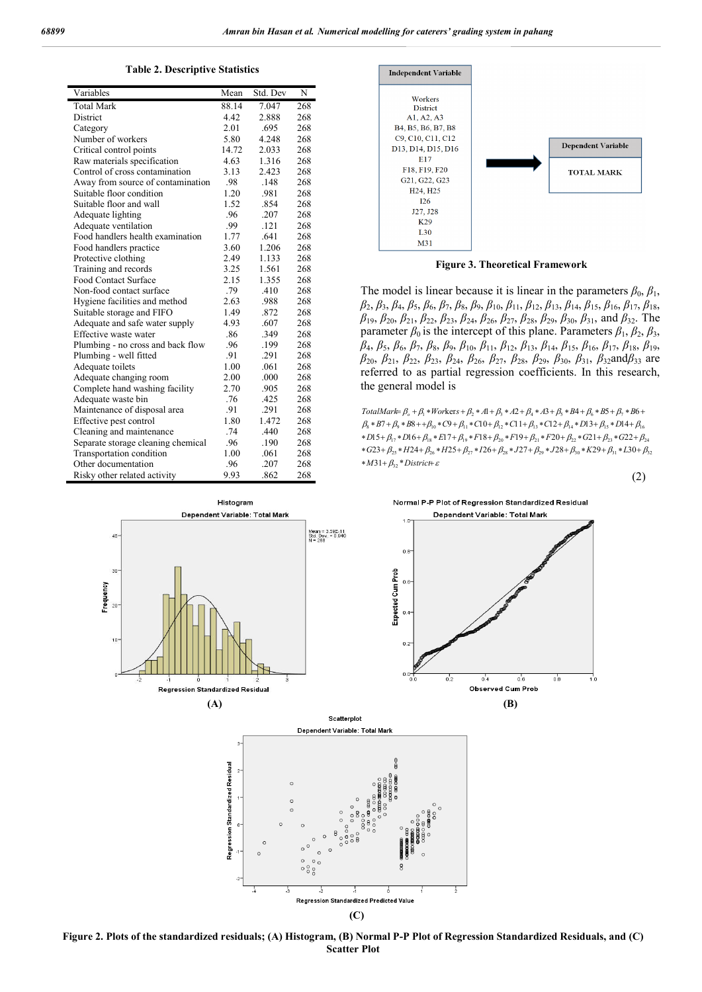**Table 2. Descriptive Statistics**

| Variables                          | Mean  | Std. Dev | N   |
|------------------------------------|-------|----------|-----|
| <b>Total Mark</b>                  | 88.14 | 7.047    | 268 |
| <b>District</b>                    | 4.42  | 2.888    | 268 |
| Category                           | 2.01  | .695     | 268 |
| Number of workers                  | 5.80  | 4.248    | 268 |
| Critical control points            | 14.72 | 2.033    | 268 |
| Raw materials specification        | 4.63  | 1.316    | 268 |
| Control of cross contamination     | 3.13  | 2.423    | 268 |
| Away from source of contamination  | .98   | .148     | 268 |
| Suitable floor condition           | 1.20  | .981     | 268 |
| Suitable floor and wall            | 1.52  | .854     | 268 |
| Adequate lighting                  | .96   | .207     | 268 |
| Adequate ventilation               | .99   | .121     | 268 |
| Food handlers health examination   | 1.77  | .641     | 268 |
| Food handlers practice             | 3.60  | 1.206    | 268 |
| Protective clothing                | 2.49  | 1.133    | 268 |
| Training and records               | 3.25  | 1.561    | 268 |
| <b>Food Contact Surface</b>        | 2.15  | 1.355    | 268 |
| Non-food contact surface           | .79   | .410     | 268 |
| Hygiene facilities and method      | 2.63  | .988     | 268 |
| Suitable storage and FIFO          | 1.49  | .872     | 268 |
| Adequate and safe water supply     | 4.93  | .607     | 268 |
| Effective waste water              | .86   | .349     | 268 |
| Plumbing - no cross and back flow  | .96   | .199     | 268 |
| Plumbing - well fitted             | .91   | .291     | 268 |
| Adequate toilets                   | 1.00  | .061     | 268 |
| Adequate changing room             | 2.00  | .000     | 268 |
| Complete hand washing facility     | 2.70  | .905     | 268 |
| Adequate waste bin                 | .76   | .425     | 268 |
| Maintenance of disposal area       | .91   | .291     | 268 |
| Effective pest control             | 1.80  | 1.472    | 268 |
| Cleaning and maintenance           | .74   | .440     | 268 |
| Separate storage cleaning chemical | .96   | .190     | 268 |
| Transportation condition           | 1.00  | .061     | 268 |
| Other documentation                | .96   | .207     | 268 |
| Risky other related activity       | 9.93  | .862     | 268 |



**Figure 3. Theoretical Framework**

The model is linear because it is linear in the parameters  $\beta_0$ ,  $\beta_1$ , *β*2, *β*3, *β*4, *β*5, *β*6, *β*7, *β*8, *β*9, *β*10, *β*11, *β*12, *β*13, *β*14, *β*15, *β*16, *β*17, *β*18, *β*19, *β*20, *β*21, *β*22, *β*23, *β*24, *β*26, *β*27, *β*28, *β*29, *β*30, *β*31, and *β*32. The parameter  $\beta_0$  is the intercept of this plane. Parameters  $\beta_1$ ,  $\beta_2$ ,  $\beta_3$ , *β*4, *β*5, *β*6, *β*7, *β*8, *β*9, *β*10, *β*11, *β*12, *β*13, *β*14, *β*15, *β*16, *β*17, *β*18, *β*19, *β*20, *β*21, *β*22, *β*23, *β*24, *β*26, *β*27, *β*28, *β*29, *β*30, *β*31, *β*32and*β*33 are referred to as partial regression coefficients. In this research, the general model is

 $*M31+\beta_{32}*District+\varepsilon$  $* G23 + \beta_{25} * H24 + \beta_{26} * H25 + \beta_{27} * I26 + \beta_{28} * J27 + \beta_{29} * J28 + \beta_{30} * K29 + \beta_{31} * L30 + \beta_{32}$  $*D15 + \beta_{17} * D16 + \beta_{18} * E17 + \beta_{19} * F18 + \beta_{20} * F19 + \beta_{21} * F20 + \beta_{22} * G21 + \beta_{23} * G22 + \beta_{24}$  *B B C C C C D D* 7 8 9 10 11 12 13 14 8 9 10 11 12 13 14 15 16 <sup>1</sup> <sup>2</sup> <sup>3</sup> <sup>4</sup> <sup>5</sup> <sup>6</sup> 7 *TotalMark*= $\beta_o + \beta_1 * Workers + \beta_2 * A1 + \beta_3 * A2 + \beta_4 * A3 + \beta_5 * B4 + \beta_6 * B5 + \beta_7 * B6 +$ 



**Figure 2. Plots of the standardized residuals; (A) Histogram, (B) Normal P-P Plot of Regression Standardized Residuals, and (C) Scatter Plot**

**(C)**

## (2)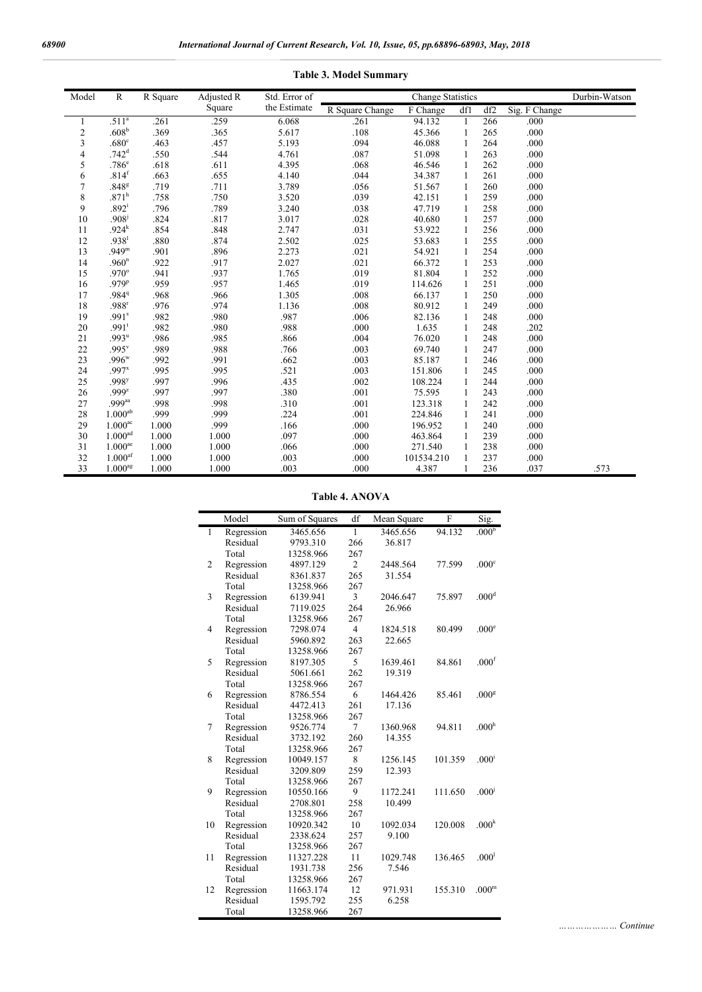| Model          | $\mathbb{R}$          | R Square | Adjusted R | Std. Error of |                                     | <b>Change Statistics</b> |              |     |               | Durbin-Watson |
|----------------|-----------------------|----------|------------|---------------|-------------------------------------|--------------------------|--------------|-----|---------------|---------------|
|                |                       |          | Square     | the Estimate  | R Square Change                     | F Change                 | df1          | df2 | Sig. F Change |               |
| 1              | .511 <sup>a</sup>     | .261     | .259       | 6.068         | .261                                | 94.132                   | $\mathbf{1}$ | 266 | .000          |               |
| $\mathfrak{2}$ | .608 <sup>b</sup>     | .369     | .365       | 5.617         | .108                                | 45.366                   | 1            | 265 | .000          |               |
| 3              | .680 <sup>c</sup>     | .463     | .457       | 5.193         | .094                                | 46.088                   | $\mathbf{1}$ | 264 | .000          |               |
| 4              | .742 <sup>d</sup>     | .550     | .544       | 4.761         | .087                                | 51.098                   | 1            | 263 | .000          |               |
| 5              | .786 <sup>e</sup>     | .618     | .611       | 4.395         | .068                                | 46.546                   | $\mathbf{1}$ | 262 | .000          |               |
| 6              | .814 <sup>f</sup>     | .663     | .655       | 4.140         | .044                                | 34.387                   | 1            | 261 | .000          |               |
| 7              | .848 <sup>g</sup>     | .719     | .711       | 3.789         | .056                                | 51.567                   | 1            | 260 | .000          |               |
| 8              | .871 <sup>h</sup>     | .758     | .750       | 3.520         | .039                                | 42.151                   | 1            | 259 | .000          |               |
| 9              | $.892^{i}$            | .796     | .789       | 3.240         | .038                                | 47.719                   | 1            | 258 | .000          |               |
| 10             | .908 <sup>j</sup>     | .824     | .817       | 3.017         | .028                                | 40.680                   | 1            | 257 | .000          |               |
| 11             | .924 <sup>k</sup>     | .854     | .848       | 2.747         | .031                                | 53.922                   | 1            | 256 | .000          |               |
| 12             | .938 <sup>1</sup>     | .880     | .874       | 2.502         | .025                                | 53.683                   | $\mathbf{1}$ | 255 | .000          |               |
| 13             | .949 <sup>m</sup>     | .901     | .896       | 2.273         | .021                                | 54.921                   | 1            | 254 | .000          |               |
| 14             | .960 <sup>n</sup>     | .922     | .917       | 2.027         | .021                                | 66.372                   | $\mathbf{1}$ | 253 | .000          |               |
| 15             | $.970^\circ$          | .941     | .937       | 1.765         | .019                                | 81.804                   | $\mathbf{1}$ | 252 | .000          |               |
| 16             | .979 <sup>p</sup>     | .959     | .957       | 1.465         | .019                                | 114.626                  | $\mathbf{1}$ | 251 | .000          |               |
| 17             | .984 <sup>q</sup>     | .968     | .966       | 1.305         | .008                                | 66.137                   | $\mathbf{1}$ | 250 | .000          |               |
| 18             | .988 <sup>r</sup>     | .976     | .974       | 1.136         | .008                                | 80.912                   | $\mathbf{1}$ | 249 | .000          |               |
| 19             | .991 <sup>s</sup>     | .982     | .980       | .987          | .006                                | 82.136<br>$\mathbf{1}$   |              | 248 | .000          |               |
| 20             | $.991$ <sup>t</sup>   | .982     | .980       | .988          | .000                                | 1.635                    | $\mathbf{1}$ | 248 | .202          |               |
| 21             | $.993^{\mathrm{u}}$   | .986     | .985       | .866          | 248<br>.000<br>.004<br>76.020<br>1  |                          |              |     |               |               |
| 22             | .995v                 | .989     | .988       | .766          | .003                                | 69.740                   | 1            | 247 | .000          |               |
| 23             | $.996^w$              | .992     | .991       | .662          | .003                                | 85.187                   | 1            | 246 | .000          |               |
| 24             | $.997^{x}$            | .995     | .995       | .521          | .003                                | 151.806                  | 1            | 245 | .000          |               |
| 25             | .998 <sup>y</sup>     | .997     | .996       | .435          | .002                                | 108.224                  | 1            | 244 | .000          |               |
| 26             | $.999^{z}$            | .997     | .997       | .380          | .001                                | 75.595                   | $\mathbf{1}$ | 243 | .000          |               |
| 27             | .999aa                | .998     | .998       | .310          | .001                                | 123.318                  | $\mathbf{1}$ | 242 | .000          |               |
| 28             | $1.000^{ab}$          | .999     | .999       | .224          | .001                                | 224.846                  | $\mathbf{1}$ | 241 | .000          |               |
| 29             | $1.000$ <sup>ac</sup> | 1.000    | .999       | .166          | .000<br>240<br>.000<br>196.952<br>1 |                          |              |     |               |               |
| 30             | 1.000 <sup>ad</sup>   | 1.000    | 1.000      | .097          | .000                                | 463.864                  | 1            | 239 | .000          |               |
| 31             | $1.000$ <sup>ae</sup> | 1.000    | 1.000      | .066          | .000                                | 271.540                  | 1            | 238 | .000          |               |
| 32             | $1.000$ <sup>af</sup> | 1.000    | 1.000      | .003          | .000                                | 101534.210               |              | 237 | .000          |               |
| 33             | 1.000 <sup>ag</sup>   | 1.000    | 1.000      | .003          | .000                                | 4.387                    |              | 236 | .037          | .573          |

### **Table 3. Model Summary**

**Table 4. ANOVA**

|                | Model      | Sum of Squares | df             | Mean Square | F       | Sig.              |
|----------------|------------|----------------|----------------|-------------|---------|-------------------|
| $\mathbf{1}$   | Regression | 3465.656       | 1              | 3465.656    | 94.132  | .000 <sup>b</sup> |
|                | Residual   | 9793.310       | 266            | 36.817      |         |                   |
|                | Total      | 13258.966      | 267            |             |         |                   |
| $\overline{2}$ | Regression | 4897.129       | $\overline{2}$ | 2448.564    | 77.599  | .000 <sup>c</sup> |
|                | Residual   | 8361.837       | 265            | 31.554      |         |                   |
|                | Total      | 13258.966      | 267            |             |         |                   |
| 3              | Regression | 6139.941       | 3              | 2046.647    | 75.897  | .000 <sup>d</sup> |
|                | Residual   | 7119.025       | 264            | 26.966      |         |                   |
|                | Total      | 13258.966      | 267            |             |         |                   |
| $\overline{4}$ | Regression | 7298.074       | $\overline{4}$ | 1824.518    | 80.499  | .000 <sup>e</sup> |
|                | Residual   | 5960.892       | 263            | 22.665      |         |                   |
|                | Total      | 13258.966      | 267            |             |         |                   |
| 5              | Regression | 8197.305       | 5              | 1639.461    | 84.861  | .000 <sup>f</sup> |
|                | Residual   | 5061.661       | 262            | 19.319      |         |                   |
|                | Total      | 13258.966      | 267            |             |         |                   |
| 6              | Regression | 8786.554       | 6              | 1464.426    | 85.461  | .000 <sup>g</sup> |
|                | Residual   | 4472.413       | 261            | 17.136      |         |                   |
|                | Total      | 13258.966      | 267            |             |         |                   |
| 7              | Regression | 9526.774       | $\tau$         | 1360.968    | 94.811  | .000 <sup>h</sup> |
|                | Residual   | 3732.192       | 260            | 14.355      |         |                   |
|                | Total      | 13258.966      | 267            |             |         |                   |
| 8              | Regression | 10049.157      | 8              | 1256.145    | 101.359 | .000 <sup>i</sup> |
|                | Residual   | 3209.809       | 259            | 12.393      |         |                   |
|                | Total      | 13258.966      | 267            |             |         |                   |
| 9              | Regression | 10550.166      | 9              | 1172.241    | 111.650 | .000 <sup>j</sup> |
|                | Residual   | 2708.801       | 258            | 10.499      |         |                   |
|                | Total      | 13258.966      | 267            |             |         |                   |
| 10             | Regression | 10920.342      | 10             | 1092.034    | 120.008 | .000 <sup>k</sup> |
|                | Residual   | 2338.624       | 257            | 9.100       |         |                   |
|                | Total      | 13258.966      | 267            |             |         |                   |
| 11             | Regression | 11327.228      | 11             | 1029.748    | 136.465 | .000 <sup>1</sup> |
|                | Residual   | 1931.738       | 256            | 7.546       |         |                   |
|                | Total      | 13258.966      | 267            |             |         |                   |
| 12             | Regression | 11663.174      | 12             | 971.931     | 155.310 | .000 <sup>m</sup> |
|                | Residual   | 1595.792       | 255            | 6.258       |         |                   |
|                | Total      | 13258.966      | 267            |             |         |                   |

*………………… Continue*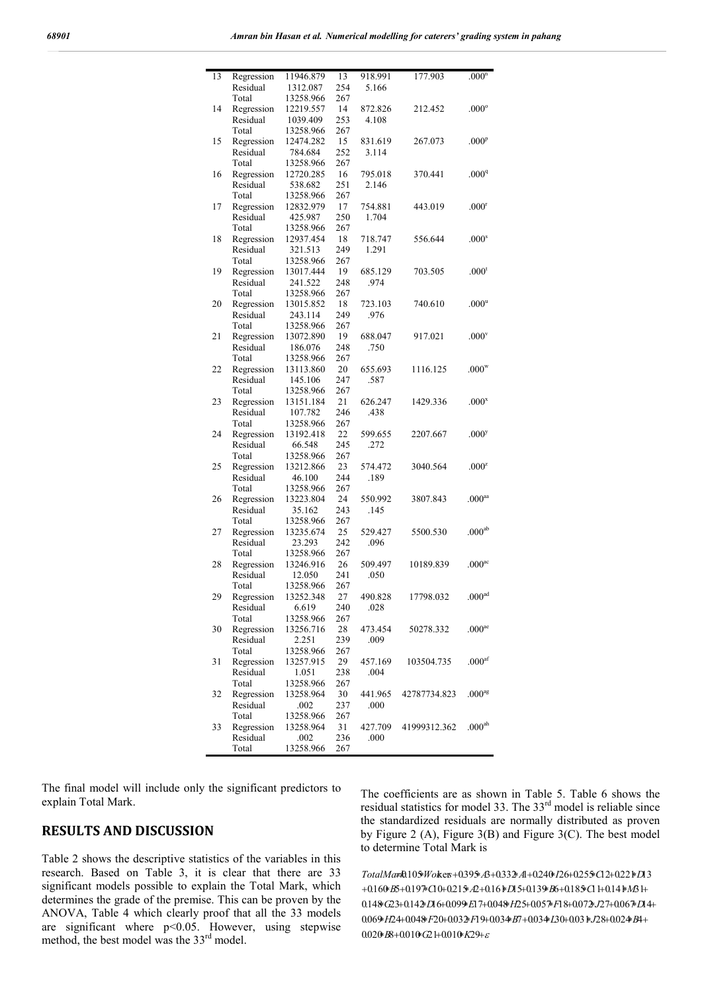| 13 | Regression | 11946.879 | 13  | 918.991 | 177.903      | .000 <sup>n</sup>    |
|----|------------|-----------|-----|---------|--------------|----------------------|
|    | Residual   | 1312.087  | 254 | 5.166   |              |                      |
|    | Total      | 13258.966 | 267 |         |              |                      |
| 14 | Regression | 12219.557 | 14  | 872.826 | 212.452      | $.000^{\circ}$       |
|    | Residual   | 1039.409  | 253 | 4.108   |              |                      |
|    | Total      | 13258.966 | 267 |         |              |                      |
| 15 | Regression | 12474.282 | 15  | 831.619 | 267.073      | .000 <sup>p</sup>    |
|    | Residual   | 784.684   | 252 | 3.114   |              |                      |
|    | Total      | 13258.966 | 267 |         |              |                      |
| 16 | Regression | 12720.285 | 16  | 795.018 | 370.441      | .000 <sup>q</sup>    |
|    | Residual   | 538.682   | 251 | 2.146   |              |                      |
|    | Total      | 13258.966 | 267 |         |              |                      |
| 17 | Regression | 12832.979 | 17  | 754.881 | 443.019      | .000 <sup>r</sup>    |
|    | Residual   | 425.987   | 250 | 1.704   |              |                      |
|    | Total      | 13258.966 | 267 |         |              |                      |
| 18 | Regression | 12937.454 | 18  | 718.747 | 556.644      | .000 <sup>s</sup>    |
|    | Residual   | 321.513   | 249 | 1.291   |              |                      |
|    | Total      | 13258.966 | 267 |         |              |                      |
| 19 | Regression | 13017.444 | 19  | 685.129 | 703.505      | .000 <sup>t</sup>    |
|    | Residual   | 241.522   | 248 | .974    |              |                      |
|    | Total      | 13258.966 | 267 |         |              |                      |
| 20 | Regression | 13015.852 | 18  | 723.103 | 740.610      | .000 <sup>u</sup>    |
|    | Residual   | 243.114   | 249 | .976    |              |                      |
|    | Total      | 13258.966 | 267 |         |              |                      |
| 21 | Regression | 13072.890 | 19  | 688.047 | 917.021      | .000 <sup>v</sup>    |
|    | Residual   | 186.076   | 248 | .750    |              |                      |
|    | Total      | 13258.966 | 267 |         |              |                      |
| 22 | Regression | 13113.860 | 20  | 655.693 | 1116.125     | $.000^{w}$           |
|    | Residual   | 145.106   | 247 | .587    |              |                      |
|    | Total      | 13258.966 | 267 |         |              |                      |
| 23 | Regression | 13151.184 | 21  | 626.247 | 1429.336     | .000 <sup>x</sup>    |
|    | Residual   | 107.782   | 246 | .438    |              |                      |
|    | Total      | 13258.966 | 267 |         |              |                      |
| 24 | Regression | 13192.418 | 22  | 599.655 | 2207.667     | .000 <sup>y</sup>    |
|    | Residual   | 66.548    | 245 | .272    |              |                      |
|    | Total      | 13258.966 | 267 |         |              |                      |
| 25 | Regression | 13212.866 | 23  | 574.472 | 3040.564     | .000 <sup>z</sup>    |
|    | Residual   | 46.100    | 244 | .189    |              |                      |
|    | Total      | 13258.966 | 267 |         |              |                      |
| 26 | Regression | 13223.804 | 24  | 550.992 | 3807.843     | .000 <sup>aa</sup>   |
|    | Residual   | 35.162    | 243 | .145    |              |                      |
|    | Total      | 13258.966 | 267 |         |              |                      |
| 27 | Regression | 13235.674 | 25  | 529.427 | 5500.530     | .000 <sup>ab</sup>   |
|    | Residual   | 23.293    | 242 | .096    |              |                      |
|    | Total      | 13258.966 | 267 |         |              |                      |
| 28 | Regression | 13246.916 | 26  | 509.497 | 10189.839    | .000 <sup>ac</sup>   |
|    | Residual   | 12.050    | 241 | .050    |              |                      |
|    | Total      | 13258.966 | 267 |         |              |                      |
| 29 | Regression | 13252.348 | 27  | 490.828 | 17798.032    | $.000^{\rm ad}$      |
|    | Residual   | 6.619     | 240 | .028    |              |                      |
|    | Total      | 13258.966 | 267 |         |              |                      |
| 30 | Regression | 13256.716 | 28  | 473.454 | 50278.332    | .000 <sup>ae</sup>   |
|    | Residual   | 2.251     | 239 | .009    |              |                      |
|    | Total      | 13258.966 | 267 |         |              |                      |
| 31 | Regression | 13257.915 | 29  | 457.169 | 103504.735   | $.000^{\mathrm{af}}$ |
|    | Residual   | 1.051     | 238 | .004    |              |                      |
|    | Total      | 13258.966 | 267 |         |              |                      |
| 32 | Regression | 13258.964 | 30  | 441.965 | 42787734.823 | .000 <sup>ag</sup>   |
|    | Residual   | .002      | 237 | .000    |              |                      |
|    | Total      | 13258.966 | 267 |         |              |                      |
| 33 | Regression | 13258.964 | 31  | 427.709 | 41999312.362 | $.000^{\rm ah}$      |
|    | Residual   | .002      | 236 | .000    |              |                      |
|    | Total      | 13258.966 | 267 |         |              |                      |

The final model will include only the significant predictors to explain Total Mark.

# **RESULTS AND DISCUSSION**

Table 2 shows the descriptive statistics of the variables in this research. Based on Table 3, it is clear that there are 33 significant models possible to explain the Total Mark, which determines the grade of the premise. This can be proven by the ANOVA, Table 4 which clearly proof that all the 33 models are significant where p<0.05. However, using stepwise method, the best model was the 33<sup>rd</sup> model.

The coefficients are as shown in Table 5. Table 6 shows the residual statistics for model 33. The  $33<sup>rd</sup>$  model is reliable since the standardized residuals are normally distributed as proven by Figure 2 (A), Figure 3(B) and Figure 3(C). The best model to determine Total Mark is

 $0.020$ *B* $8+0.010$ *G* $21+0.010$ *K* $29+ε$ 0.069\*H24+0.048\*F20+0.032\*F19+0.034\*B7+0.034\*L30+0.031\*J28+0.024\*B4+ 0.14%G23+0.14%Dl6+0.099%El7+0.04%H25+0.05%Fl8+0.07%J27+0.06%Dl4+ +0.160 *B*5+0.197 \* Cl 0+0.215 *A*2+0.16 \* Dl 5+0.139 *B*6+0.185 <sup>c</sup>Cl 1+0.14 \* M3 1+ *TotalMark* $0.105$ *Worker* +0.395  $\overline{AB}$  +0.333  $\overline{A}$  +0.24  $\overline{B}$   $126$  +0.25  $\overline{5}$   $\overline{C}$  2+0.22  $\overline{B}$   $\overline{D}$  3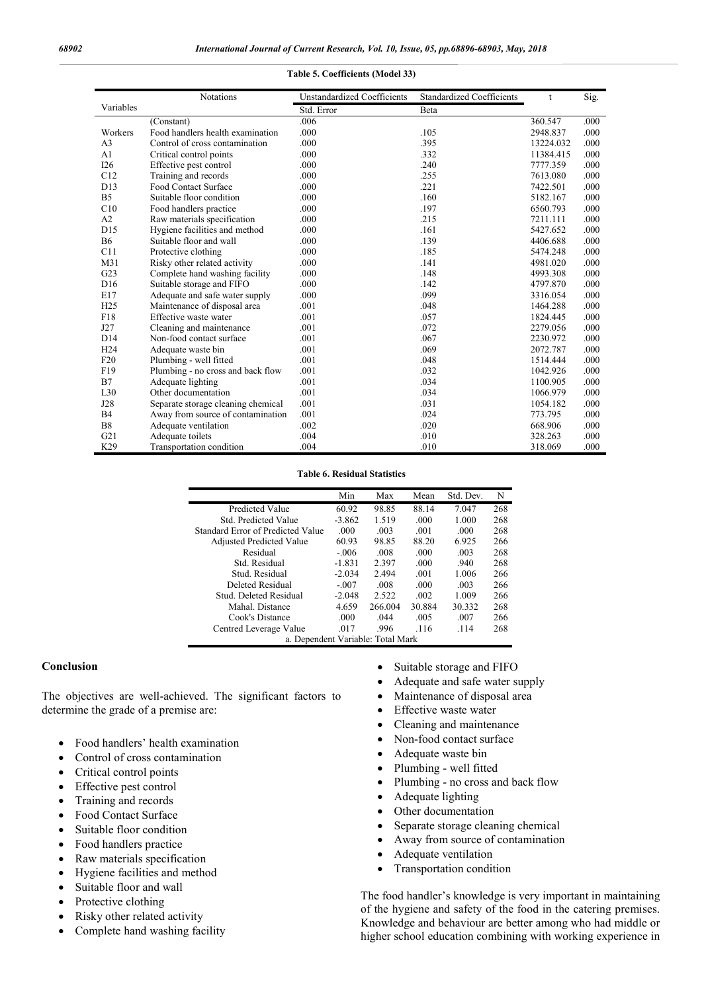**Table 5. Coefficients (Model 33)**

#### Variables Notations Unstandardized Coefficients Standardized Coefficients t Sig. Std. Error Beta<br>006 (Constant) .006 360.547 .000 Workers Food handlers health examination .000 .105 2948.837 .000 .105 2948.837 .000 .105 2948.837 .000 .105 .13224.032 .000 A3 Control of cross contamination .000 .395 13224.032 .000 A1 Critical control points .000 .332 11384.415 .000 I26 Effective pest control .000 .240 7777.359 .000 C12 Training and records .000 .255 7613.080 .000 D13 Food Contact Surface .000 .221 7422.501 .000 B5 Suitable floor condition .000 .000 .160 .160 5182.167 .000 .000 .160 .000 .160 .000 .197 .000 .000 .000 .197 .000 Food handlers practice  $.000$  .197 6560.793 .000<br>
Raw materials specification  $.000$  ... 215 7211 111 .000 A2 Raw materials specification .000 .215 7211.111 .000 D15 Hygiene facilities and method .000 .000 .161 5427.652 .000 .000 .161 5427.652 .000 .000 .161 5406.688 .000 B6 Suitable floor and wall  $.000$  .139  $.139$  4406.688 .000 C11 Protective clothing  $.000$  .185 5474.248 .000 Protective clothing ... 000 ... 185 5474.248 ... 000 ... 185 5474.248 ... 000 ... 185 5474.248 ... 000 ... 141 M31 Risky other related activity .000 .141 G23 Complete hand washing facility .000 .148 .148 4993.308 .000 D16 Suitable storage and FIFO .000 .142 4797.870 .000 E17 Adequate and safe water supply .000 H25 Maintenance of disposal area .001 .048 1464.288 .000 .01 .048 15 H25 Maintenance of disposal area .001 .057 1824.445 .000 F18 Effective waste water .001 .057 1824.445 .000 Cleaning and maintenance D14 Non-food contact surface .001 .067 .067 .2230.972 .000 H24 Adequate waste bin .001 .069 2072.787 .000 F20 Plumbing - well fitted .001 .048 1514.444 .000 Plumbing - no cross and back flow B7 Adequate lighting .001 .034 1100.905 .000 .034 1100.905 .000 .034 1100.905 .000 .034 1100.905 .000 Other documentation J28 Separate storage cleaning chemical .001 .031 .031 1054.182 .000 .031 1054.182 .000 .031 .031 .000 B4 Away from source of contamination .001 .024 773.795 .000 B8 Adequate ventilation ... 002 ... 020 ... 020 ... 668.906 ... 000<br>
G21 Adequate toilets ... 004 ... 010 ... 028.263 ... 000 Adequate toilets ... 004 ... 010 ... 010 ... 028.263 ... 000 ... 010 ... 010 ... 328.263 ... 000 ... 010 ... 318.069 ... 000 ... 010 ... 010 ... 010 ... 010 ... 010 ... 010 ... 010 ... 010 ... 010 ... 010 ... 010 ... 010 . K29 Transportation condition

#### **Table 6. Residual Statistics**

|                                   | Min      | Max     | Mean   | Std. Dev. | N   |  |
|-----------------------------------|----------|---------|--------|-----------|-----|--|
| <b>Predicted Value</b>            | 60.92    | 98.85   | 88.14  | 7.047     | 268 |  |
| Std. Predicted Value              | $-3.862$ | 1.519   | .000   | 1.000     | 268 |  |
| Standard Error of Predicted Value | .000     | .003    | .001   | .000      | 268 |  |
| <b>Adjusted Predicted Value</b>   | 60.93    | 98.85   | 88.20  | 6.925     | 266 |  |
| Residual                          | $-0.06$  | .008    | .000   | .003      | 268 |  |
| Std. Residual                     | $-1.831$ | 2.397   | .000   | .940      | 268 |  |
| Stud. Residual                    | $-2.034$ | 2.494   | .001   | 1.006     | 266 |  |
| Deleted Residual                  | $-.007$  | .008    | .000   | .003      | 266 |  |
| Stud. Deleted Residual            | $-2.048$ | 2.522   | .002   | 1.009     | 266 |  |
| Mahal. Distance                   | 4.659    | 266.004 | 30.884 | 30.332    | 268 |  |
| Cook's Distance                   | .000     | .044    | .005   | .007      | 266 |  |
| Centred Leverage Value            | .017     | .996    | .116   | .114      | 268 |  |
| a. Dependent Variable: Total Mark |          |         |        |           |     |  |

#### **Conclusion**

The objectives are well-achieved. The significant factors to determine the grade of a premise are:

- Food handlers' health examination
- Control of cross contamination
- Critical control points
- Effective pest control
- Training and records
- Food Contact Surface
- Suitable floor condition
- Food handlers practice
- Raw materials specification
- Hygiene facilities and method
- Suitable floor and wall
- Protective clothing
- Risky other related activity
- Complete hand washing facility
- Suitable storage and FIFO
- Adequate and safe water supply
- Maintenance of disposal area
- Effective waste water
- Cleaning and maintenance
- Non-food contact surface
- Adequate waste bin
- Plumbing well fitted
- Plumbing no cross and back flow
- Adequate lighting
- Other documentation
- Separate storage cleaning chemical
- Away from source of contamination
- Adequate ventilation
- Transportation condition

The food handler's knowledge is very important in maintaining of the hygiene and safety of the food in the catering premises. Knowledge and behaviour are better among who had middle or higher school education combining with working experience in